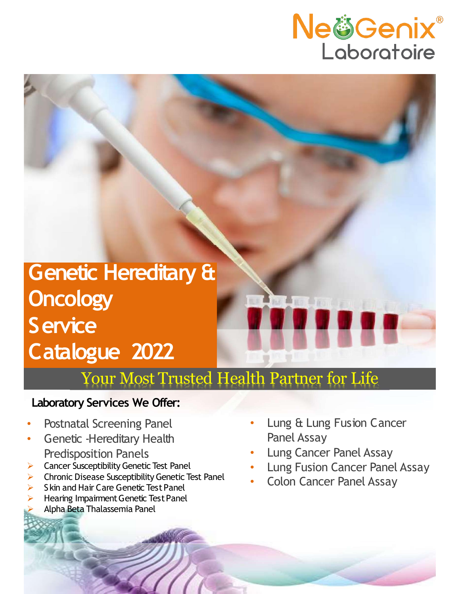

# **Genetic Hereditary & Oncology Service Catalogue 2022**

### Your Most Trusted Health Partner for Life

### **Laboratory Services We Offer:**

- Postnatal Screening Panel
- Genetic -Hereditary Health Predisposition Panels
- ➢ Cancer Susceptibility Genetic Test Panel
- ➢ Chronic Disease Susceptibility Genetic Test Panel
- S kin and Hair Care Genetic Test Panel
- Hearing Impairment Genetic Test Panel ➢ Alpha Beta Thalassemia Panel
- Lung & Lung Fusion Cancer Panel Assay
- Lung Cancer Panel Assay

 $\sqrt{100}$  ,  $\sqrt{100}$  ,  $\sqrt{10}$ 

- Lung Fusion Cancer Panel Assay
- Colon Cancer Panel Assay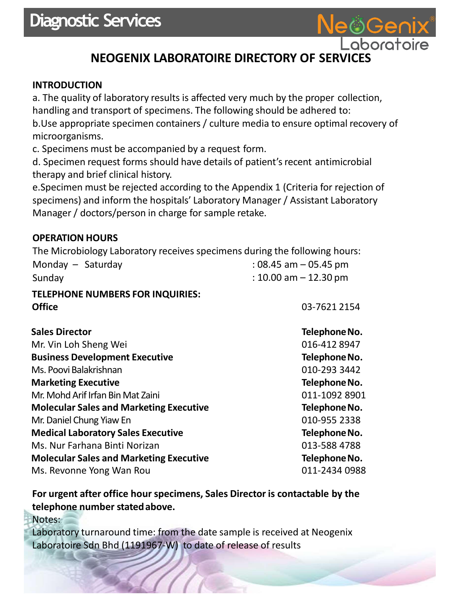## **Diagnostic Services**



### **NEOGENIX LABORATOIRE DIRECTORY OF SERVICES**

#### **INTRODUCTION**

a. The quality of laboratory results is affected very much by the proper collection, handling and transport of specimens. The following should be adhered to: b.Use appropriate specimen containers / culture media to ensure optimal recovery of microorganisms.

c. Specimens must be accompanied by a request form.

d. Specimen request forms should have details of patient's recent antimicrobial therapy and brief clinical history.

e.Specimen must be rejected according to the Appendix 1 (Criteria for rejection of specimens) and inform the hospitals' Laboratory Manager / Assistant Laboratory Manager / doctors/person in charge for sample retake.

#### **OPERATION HOURS**

The Microbiology Laboratory receives specimens during the following hours:

| TFI FPHONF NI IMRFRS FOR INOLIIRIFS· |                          |
|--------------------------------------|--------------------------|
| Sunday                               | : 10.00 am $-$ 12.30 pm  |
| Monday $-$ Saturday                  | $: 08.45$ am $-05.45$ pm |

#### **TELEPHONE NUMBERS FOR INQUIRIES: Office** 03-7621 2154

| Telephone No. |
|---------------|
| 016-412 8947  |
| Telephone No. |
| 010-293 3442  |
| Telephone No. |
| 011-1092 8901 |
| Telephone No. |
| 010-955 2338  |
| Telephone No. |
| 013-588 4788  |
| Telephone No. |
| 011-2434 0988 |
|               |

### **For urgent after office hour specimens, Sales Director is contactable by the telephone number statedabove.**

Notes:

Laboratory turnaround time: from the date sample is received at Neogenix Laboratoire Sdn Bhd (1191967-W) to date of release of results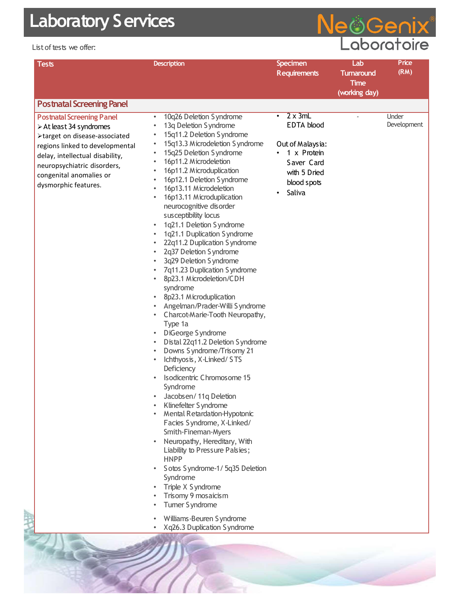List of tests we offer:



| <b>Tests</b>                                                                                                                                                                                                                                         | <b>Description</b>                                                                                                                                                                                                                                                                                                                                                                                                                                                                                                                                                                                                                                                                                                                                                                                                                                                                                                                                                                                                                                                                                                                                                                                                                                              | Specimen<br><b>Requirements</b>                                                                                             | Lab<br><b>Turnaround</b><br><b>Time</b><br>(working day) | Price<br>(RM)        |
|------------------------------------------------------------------------------------------------------------------------------------------------------------------------------------------------------------------------------------------------------|-----------------------------------------------------------------------------------------------------------------------------------------------------------------------------------------------------------------------------------------------------------------------------------------------------------------------------------------------------------------------------------------------------------------------------------------------------------------------------------------------------------------------------------------------------------------------------------------------------------------------------------------------------------------------------------------------------------------------------------------------------------------------------------------------------------------------------------------------------------------------------------------------------------------------------------------------------------------------------------------------------------------------------------------------------------------------------------------------------------------------------------------------------------------------------------------------------------------------------------------------------------------|-----------------------------------------------------------------------------------------------------------------------------|----------------------------------------------------------|----------------------|
| <b>Postnatal Screening Panel</b>                                                                                                                                                                                                                     |                                                                                                                                                                                                                                                                                                                                                                                                                                                                                                                                                                                                                                                                                                                                                                                                                                                                                                                                                                                                                                                                                                                                                                                                                                                                 |                                                                                                                             |                                                          |                      |
| <b>Postnatal Screening Panel</b><br>> At least 34 syndromes<br>>target on disease-associated<br>regions linked to developmental<br>delay, intellectual disability,<br>neuropsychiatric disorders,<br>congenital anomalies or<br>dysmorphic features. | 10q26 Deletion Syndrome<br>$\bullet$<br>13q Deletion Syndrome<br>15q11.2 Deletion Syndrome<br>15q13.3 Microdeletion Syndrome<br>15q25 Deletion Syndrome<br>16p11.2 Microdeletion<br>16p11.2 Microduplication<br>16p12.1 Deletion Syndrome<br>16p13.11 Microdeletion<br>16p13.11 Microduplication<br>neurocognitive disorder<br>susceptibility locus<br>1q21.1 Deletion Syndrome<br>1q21.1 Duplication Syndrome<br>22q11.2 Duplication Syndrome<br>2q37 Deletion Syndrome<br>3q29 Deletion Syndrome<br>7q11.23 Duplication Syndrome<br>8p23.1 Microdeletion/CDH<br>syndrome<br>8p23.1 Microduplication<br>Angelman/Prader-Willi Syndrome<br>Charcot-Marie-Tooth Neuropathy,<br>Type 1a<br>DiGeorge Syndrome<br>Distal 22q11.2 Deletion Syndrome<br>Downs Syndrome/Trisomy 21<br>Ichthyosis, X-Linked/STS<br>Deficiency<br>Isodicentric Chromosome 15<br>Syndrome<br>Jacobsen/11q Deletion<br>Klinefelter Syndrome<br>Mental Retardation-Hypotonic<br>Facies Syndrome, X-Linked/<br>Smith-Fineman-Myers<br>Neuropathy, Hereditary, With<br>Liability to Pressure Palsies;<br><b>HNPP</b><br>Sotos Syndrome-1/5q35 Deletion<br>Syndrome<br>Triple X S yndrome<br>Trisomy 9 mosaicism<br>Tumer S yndrome<br>Williams-Beuren Syndrome<br>Xq26.3 Duplication Syndrome | $2 \times 3mL$<br>٠<br>EDTA blood<br>Out of Malaysia:<br>1 x Protein<br>Saver Card<br>with 5 Dried<br>blood spots<br>Saliva | ÷,                                                       | Under<br>Development |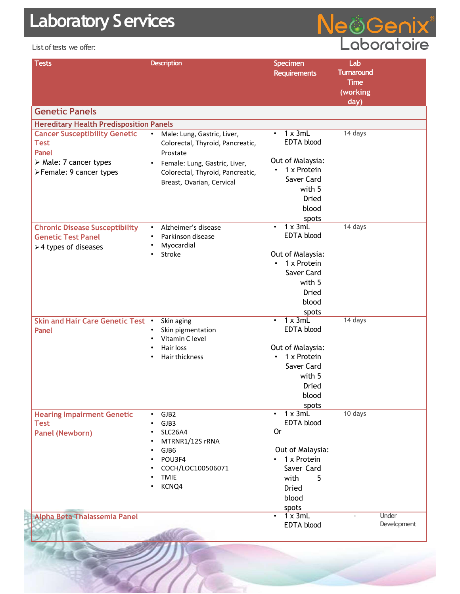List of tests we offer:



| <b>Tests</b>                                                                                                                     | <b>Description</b>                                                                                                                                                                                      | <b>Specimen</b><br><b>Requirements</b>                                                                                                              | Lab<br><b>Turnaround</b><br><b>Time</b><br>(working<br>day) |                      |
|----------------------------------------------------------------------------------------------------------------------------------|---------------------------------------------------------------------------------------------------------------------------------------------------------------------------------------------------------|-----------------------------------------------------------------------------------------------------------------------------------------------------|-------------------------------------------------------------|----------------------|
| <b>Genetic Panels</b>                                                                                                            |                                                                                                                                                                                                         |                                                                                                                                                     |                                                             |                      |
| <b>Hereditary Health Predisposition Panels</b>                                                                                   |                                                                                                                                                                                                         |                                                                                                                                                     |                                                             |                      |
| <b>Cancer Susceptibility Genetic</b><br><b>Test</b><br>Panel<br>$\triangleright$ Male: 7 cancer types<br>>Female: 9 cancer types | Male: Lung, Gastric, Liver,<br>$\bullet$<br>Colorectal, Thyroid, Pancreatic,<br>Prostate<br>Female: Lung, Gastric, Liver,<br>$\bullet$<br>Colorectal, Thyroid, Pancreatic,<br>Breast, Ovarian, Cervical | $1 \times 3mL$<br>$\bullet$<br>EDTA blood<br>Out of Malaysia:<br>1 x Protein<br>$\bullet$<br>Saver Card<br>with 5<br><b>Dried</b><br>blood<br>spots | 14 days                                                     |                      |
| <b>Chronic Disease Susceptibility</b><br><b>Genetic Test Panel</b><br>>4 types of diseases                                       | Alzheimer's disease<br>$\bullet$<br>Parkinson disease<br>Myocardial<br>Stroke                                                                                                                           | $1 \times 3mL$<br>$\bullet$<br><b>EDTA blood</b><br>Out of Malaysia:<br>$\cdot$ 1 x Protein<br>Saver Card<br>with 5<br><b>Dried</b><br>blood        | 14 days                                                     |                      |
| Skin and Hair Care Genetic Test .<br>Panel                                                                                       | Skin aging<br>Skin pigmentation<br>Vitamin C level<br>Hair loss<br>Hair thickness                                                                                                                       | spots<br>$1 \times 3mL$<br>EDTA blood<br>Out of Malaysia:<br>1 x Protein<br>$\bullet$<br>Saver Card<br>with 5<br>Dried<br>blood<br>spots            | 14 days                                                     |                      |
| <b>Hearing Impairment Genetic</b><br><b>Test</b><br><b>Panel (Newborn)</b>                                                       | GJB2<br>GJB3<br>SLC26A4<br>MTRNR1/12S rRNA<br>GJB6<br>POU3F4<br>COCH/LOC100506071<br><b>TMIE</b><br>KCNQ4                                                                                               | $1 \times 3mL$<br>$\bullet$ .<br>EDTA blood<br><b>Or</b><br>Out of Malaysia:<br>• 1 x Protein<br>Saver Card<br>with<br>5.<br>Dried<br>blood         | 10 days                                                     |                      |
| Alpha Beta Thalassemia Panel                                                                                                     |                                                                                                                                                                                                         | spots<br>$\cdot$ 1 x 3mL<br>EDTA blood                                                                                                              | ÷.                                                          | Under<br>Development |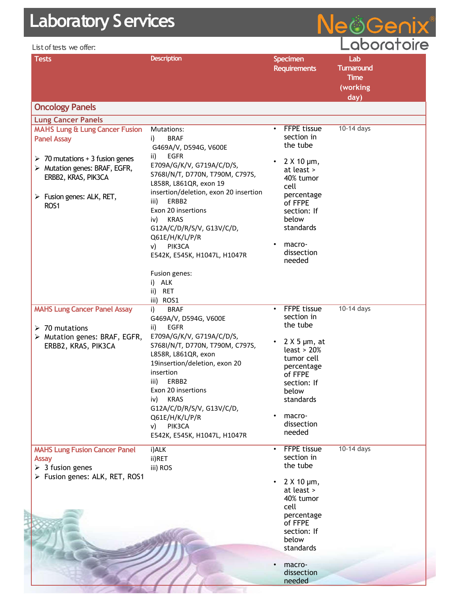#### Listoftests we offer:

**ACCEL VAID** 



| LISLUI LESS WE UITEI.                                                                                                                                                                                                              |                                                                                                                                                                                                                                                                                                                                                                               |                                                                                                                                                                                                                                           | 9999191                                                     |
|------------------------------------------------------------------------------------------------------------------------------------------------------------------------------------------------------------------------------------|-------------------------------------------------------------------------------------------------------------------------------------------------------------------------------------------------------------------------------------------------------------------------------------------------------------------------------------------------------------------------------|-------------------------------------------------------------------------------------------------------------------------------------------------------------------------------------------------------------------------------------------|-------------------------------------------------------------|
| <b>Tests</b>                                                                                                                                                                                                                       | <b>Description</b>                                                                                                                                                                                                                                                                                                                                                            | Specimen<br><b>Requirements</b>                                                                                                                                                                                                           | Lab<br><b>Turnaround</b><br><b>Time</b><br>(working<br>day) |
| <b>Oncology Panels</b>                                                                                                                                                                                                             |                                                                                                                                                                                                                                                                                                                                                                               |                                                                                                                                                                                                                                           |                                                             |
| <b>Lung Cancer Panels</b>                                                                                                                                                                                                          |                                                                                                                                                                                                                                                                                                                                                                               |                                                                                                                                                                                                                                           |                                                             |
| <b>MAHS Lung &amp; Lung Cancer Fusion</b><br><b>Panel Assay</b><br>$\geq 70$ mutations + 3 fusion genes<br>$\triangleright$ Mutation genes: BRAF, EGFR,<br>ERBB2, KRAS, PIK3CA<br>$\triangleright$ Fusion genes: ALK, RET,<br>ROS1 | Mutations:<br>i)<br><b>BRAF</b><br>G469A/V, D594G, V600E<br><b>EGFR</b><br>ii)<br>E709A/G/K/V, G719A/C/D/S,<br>S768I/N/T, D770N, T790M, C797S,<br>L858R, L861QR, exon 19<br>insertion/deletion, exon 20 insertion<br>iii)<br>ERBB2<br>Exon 20 insertions<br><b>KRAS</b><br>iv)<br>G12A/C/D/R/S/V, G13V/C/D,<br>Q61E/H/K/L/P/R<br>PIK3CA<br>v)<br>E542K, E545K, H1047L, H1047R | <b>FFPE</b> tissue<br>$\bullet$<br>section in<br>the tube<br>$2 \times 10 \mu m$ ,<br>at least ><br>40% tumor<br>cell<br>percentage<br>of FFPE<br>section: If<br>below<br>standards<br>macro-<br>dissection<br>needed                     | 10-14 days                                                  |
|                                                                                                                                                                                                                                    | Fusion genes:<br>i) ALK<br>ii) RET<br>iii) ROS1                                                                                                                                                                                                                                                                                                                               |                                                                                                                                                                                                                                           |                                                             |
| <b>MAHS Lung Cancer Panel Assay</b><br>$\geq 70$ mutations<br>> Mutation genes: BRAF, EGFR,<br>ERBB2, KRAS, PIK3CA                                                                                                                 | <b>BRAF</b><br>i)<br>G469A/V, D594G, V600E<br><b>EGFR</b><br>ii)<br>E709A/G/K/V, G719A/C/D/S,<br>S768I/N/T, D770N, T790M, C797S,<br>L858R, L861QR, exon<br>19insertion/deletion, exon 20<br>insertion<br>iii)<br>ERBB2<br>Exon 20 insertions<br><b>KRAS</b><br>iv)<br>G12A/C/D/R/S/V, G13V/C/D,<br>Q61E/H/K/L/P/R<br>PIK3CA<br>v)<br>E542K, E545K, H1047L, H1047R             | <b>FFPE</b> tissue<br>$\bullet$<br>section in<br>the tube<br>$2 \times 5 \mu m$ , at<br>least $> 20%$<br>tumor cell<br>percentage<br>of FFPE<br>section: If<br>below<br>standards<br>macro-<br>dissection<br>needed<br><b>FFPE</b> tissue | 10-14 days<br>10-14 days                                    |
| <b>MAHS Lung Fusion Cancer Panel</b><br><b>Assay</b><br>$\geq 3$ fusion genes<br>> Fusion genes: ALK, RET, ROS1                                                                                                                    | i)ALK<br>ii)RET<br>iii) ROS                                                                                                                                                                                                                                                                                                                                                   | section in<br>the tube<br>$2 \times 10 \mu m$ ,<br>at least ><br>40% tumor<br>cell<br>percentage<br>of FFPE<br>section: If<br>below<br>standards<br>macro-                                                                                |                                                             |
|                                                                                                                                                                                                                                    |                                                                                                                                                                                                                                                                                                                                                                               | dissection<br>needed                                                                                                                                                                                                                      |                                                             |

1 1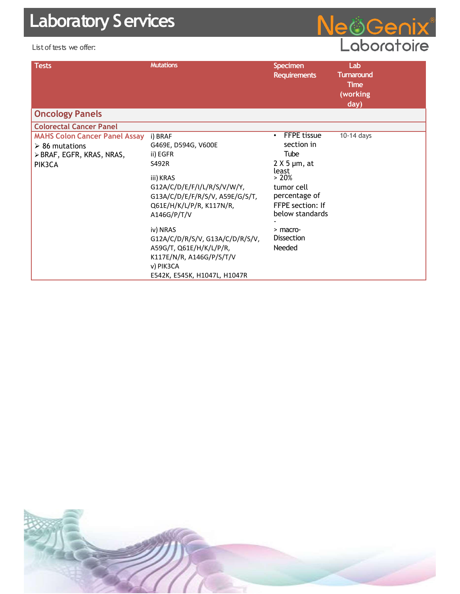List of tests we offer:



| <b>Tests</b>                         | <b>Mutations</b>                | <b>Specimen</b><br><b>Requirements</b> | Lab<br><b>Turnaround</b><br><b>Time</b><br>(working<br>day) |
|--------------------------------------|---------------------------------|----------------------------------------|-------------------------------------------------------------|
| <b>Oncology Panels</b>               |                                 |                                        |                                                             |
| <b>Colorectal Cancer Panel</b>       |                                 |                                        |                                                             |
| <b>MAHS Colon Cancer Panel Assay</b> | i) BRAF                         | <b>FFPE tissue</b><br>$\bullet$        | 10-14 days                                                  |
| $\geq 86$ mutations                  | G469E, D594G, V600E             | section in                             |                                                             |
| > BRAF, EGFR, KRAS, NRAS,            | ii) EGFR                        | Tube                                   |                                                             |
| PIK3CA                               | S492R                           | $2 \times 5$ µm, at<br>least           |                                                             |
|                                      | iii) KRAS                       | >20%                                   |                                                             |
|                                      | G12A/C/D/E/F/I/L/R/S/V/W/Y,     | tumor cell                             |                                                             |
|                                      | G13A/C/D/E/F/R/S/V, A59E/G/S/T, | percentage of                          |                                                             |
|                                      | Q61E/H/K/L/P/R, K117N/R,        | FFPE section: If                       |                                                             |
|                                      | A146G/P/T/V                     | below standards                        |                                                             |
|                                      | iv) NRAS                        | > macro-                               |                                                             |
|                                      | G12A/C/D/R/S/V, G13A/C/D/R/S/V, | <b>Dissection</b>                      |                                                             |
|                                      | A59G/T, Q61E/H/K/L/P/R,         | Needed                                 |                                                             |
|                                      | K117E/N/R, A146G/P/S/T/V        |                                        |                                                             |
|                                      | v) PIK3CA                       |                                        |                                                             |
|                                      | E542K, E545K, H1047L, H1047R    |                                        |                                                             |

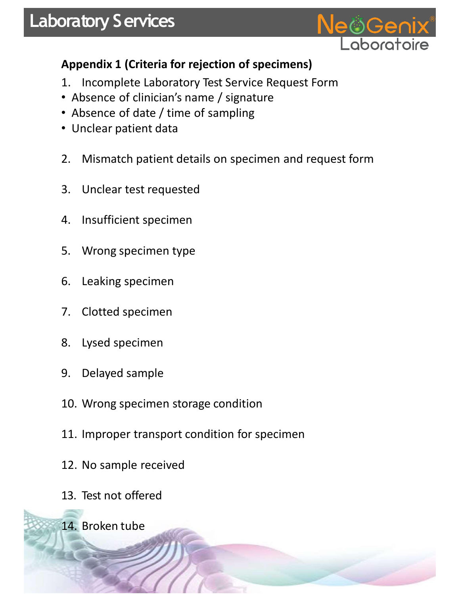

### **Appendix 1 (Criteria for rejection of specimens)**

- 1. Incomplete Laboratory Test Service Request Form
- Absence of clinician's name / signature
- Absence of date / time of sampling
- Unclear patient data
- 2. Mismatch patient details on specimen and request form
- 3. Unclear test requested
- 4. Insufficient specimen
- 5. Wrong specimen type
- 6. Leaking specimen
- 7. Clotted specimen
- 8. Lysed specimen
- 9. Delayed sample
- 10. Wrong specimen storage condition
- 11. Improper transport condition for specimen
- 12. No sample received
- 13. Test not offered
- 14. Broken tube